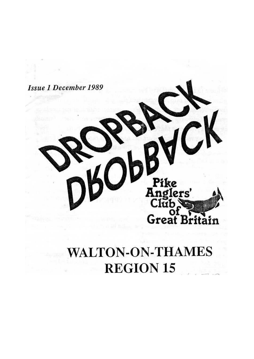

# **WALTON-ON-THAMES REGION 15**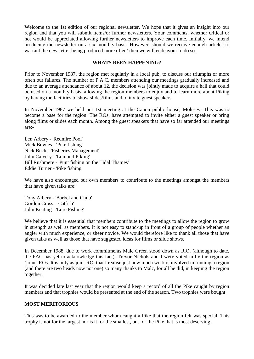Welcome to the 1st edition of our regional newsletter. We hope that it gives an insight into our region and that you will submit items/or further newsletters. Your comments, whether critical or not would be appreciated allowing further newsletters to improve each time. Initially, we intend producing the newsletter on a six monthly basis. However, should we receive enough articles to warrant the newsletter being produced more often/ then we will endeavour to do so.

#### **WHATS BEEN HAPPENING?**

Prior to November 1987, the region met regularly in a local pub, to discuss our triumphs or more often our failures. The number of P.A.C. members attending our meetings gradually increased and due to an average attendance of about 12, the decision was jointly made to acquire a hall that could be used on a monthly basis, allowing the region members to enjoy and to learn more about Piking by having the facilities to show slides/films and to invite guest speakers.

In November 1987 we held our 1st meeting at the Canon public house, Molesey. This was to become a base for the region. The ROs, have attempted to invite either a guest speaker or bring along films or slides each month. Among the guest speakers that have so far attended our meetings are:-

Len Arbery - 'Redmire Pool' Mick Bowles - 'Pike fishing' Nick Buck - 'Fisheries Management' John Calvery - 'Lomond Piking' Bill Rushmere - 'Punt fishing on the Tidal Thames' Eddie Turner - 'Pike fishing'

We have also encouraged our own members to contribute to the meetings amongst the members that have given talks are:

Tony Arbery - 'Barbel and Chub' Gordon Cross - 'Catfish' John Keating - 'Lure Fishing'

We believe that it is essential that members contribute to the meetings to allow the region to grow in strength as well as members. It is not easy to stand-up in front of a group of people whether an angler with much experience, or sheer novice. We would therefore like to thank all those that have given talks as well as those that have suggested ideas for films or slide shows.

In December 1988, due to work commitments Malc Green stood down as R.O. (although to date, the PAC has yet to acknowledge this fact). Trevor Nichols and I were voted in by the region as 'joint' ROs. It is only as joint RO, that I realise just how much work is involved in running a region (and there are two heads now not one) so many thanks to Malc, for all he did, in keeping the region together.

It was decided late last year that the region would keep a record of all the Pike caught by region members and that trophies would be presented at the end of the season. Two trophies were bought:

#### **MOST MERITORIOUS**

This was to be awarded to the member whom caught a Pike that the region felt was special. This trophy is not for the largest nor is it for the smallest, but for the Pike that is most deserving.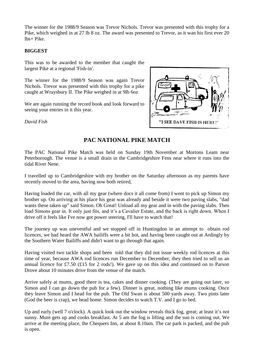The winner for the 1988/9 Season was Trevor Nichols. Trevor was presented with this trophy for a Pike, which weighed in at 27 lb 8 oz. The award was presented to Trevor, as it wan his first ever 20 lbs+ Pike.

### **BIGGEST**

This was to be awarded to the member that caught the largest Pike at a regional 'Fish-in'.

The winner for the 1988/9 Season was again Trevor Nichols. Trevor was presented with this trophy for a pike caught at Wraysbury II. The Pike weighed in at 9lb 6oz

We are again running the record book and look forward to seeing your entries in it this year.

*David Fish*



# **PAC NATIONAL PIKE MATCH**

The PAC National Pike Match was held on Sunday 19th November at Mortons Leam near Peterborough. The venue is a small drain in the Cambridgeshire Fens near where it runs into the tidal River Nene.

I travelled up to Cambridgeshire with my brother on the Saturday afternoon as my parents have recently moved to the area, having now both retired,

Having loaded the car, with all my gear (where docs it all come from) I went to pick up Simon my brother up. On arriving at his place his gear was already and beside it were two paving slabs, "dad wants these taken up" said Simon. Oh Great! Unload all my gear and in with the paving slabs. Then load Simons gear in. It only just fits, and it's a Cavalier Estate, and the back is right down. When I drive off it feels like I've now got power steering, I'll have to watch that!

The journey up was uneventful and we stopped off in Huntingdon in an attempt to obtain rod licences, we had heard the AWA bailiffs were a bit hot, and having been caught out at Ardingly by the Southern Water Bailiffs and didn't want to go through that again.

Having visited two tackle shops and been told that they did not issue weekly rod licences at this time of year, because AWA rod licences run December to December, they then tried to sell us an annual licence for £7.50 (£15 for 2 rods!). We gave up on this idea and continued on to Parson Drove about 10 minutes drive from the venue of the match.

Arrive safely at mums, good there is tea, cakes and dinner cooking. (They are going out later, so Simon and I can go down the pub for a few). Dinner is great, nothing like mums cooking. Once they leave Simon and I head for the pub. The Old Swan is about 500 yards away. Two pints later (God the beer is crap), we head home. Simon decides to watch T.V. and I go to bed.

Up and early (well 7 o'clock). A quick look out the window reveals thick fog, great; at least it's not sunny. Mum gets up and cooks breakfast. At 5 am the fog is lifting and the sun is coming out. We arrive at the meeting place, the Chequers Inn, at about 8.10am. The car park is packed, and the pub is open.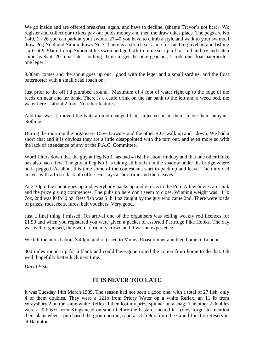We go inside and are offered breakfast, again, and have to decline, (shame Trevor's not here). We register and collect our tickets pay our pools money and then the draw takes place. The pegs are No 1-40, 1 - 26 you can park at your swims. 27-40 you have to climb a style and walk to your swims. I draw Peg No 4 and Simon draws No 7. There is a stretch set aside for catching livebait and fishing starts at 9.30am. I drop Simon at his swim and go back to mine set up a float rod and try and catch some livebait. 20 mins later, nothing. Time to get the pike gear out, 2 rods one float paternoster, one leger.

9.30am comes and the shout goes up out good with the leger and a small sardine, and the float paternoster with a small dead roach on.

Just prior to the off I'd plumbed around, Maximum of 4 foot of water right up to the edge of the reeds on near and far bank. There is a cattle drink on the far bank to the left and a weed bed, the water here is about 2 foot. No other features.

And that was it, moved the baits around changed baits, injected oil in them, made them buoyant. Nothing!

During the morning the organisers Dave Downes and the other R.O. walk up and down. We had a short chat and it is obvious they are a little disappointed with the turn out, and even more so with the lack of attendance of any of the P.A.C. Committee.

Word filters down that the guy at Peg No 1 has had 4 fish by about midday and that one other bloke has also had a few. The guy at Peg No 1 is taking all his fish in the shadow under the bridge where he is pegged. At about this time some of the contestants start to pack up and leave. Then my dad arrives with a fresh flask of coffee. He stays a short time and then leaves.

At 2.30pm the shout goes up and everybody packs up and returns to the Pub. A few bevies are sunk and the prize giving commences. The pubs up here don't seem to close. Winning weight was 11 lb 7oz, 2nd was l0 lb l0 oz. Best fish was 5 lb 4 oz caught by the guy who came 2nd. There were loads of prizes, rods, reels, lures, bait vouchers. Very good.

Just a final thing I missed. On arrival one of the organisers was selling weekly rod licences for £1.50 and when you registered you were given a packet of assorted Partridge Pike Hooks. The day was well organised, they were a friendly crowd and it was an experience.

We left the pub at about 3.40pm and returned to Mums. Roast dinner and then home to London.

300 miles round trip for a blank and could have gone round the comer from home to do that. Oh well, hopefully better luck next time.

*David Fish*

# **IT IS NEVER TOO LATE**

It was Tuesday 14th March 1989. The season had not been a good one, with a total of 27 fish, only 4 of them doubles. They were a 121b from Priory Water on a white Reflex, an 11 lb from Wraysbury 2 on the same white Reflex. I then lost my prize spinner on a snag! The other 2 doubles were a l0lb 6oz from Kingsmead on smelt before the bastards netted it - (they forgot to mention their plans when I purchased the group permit,) and a 131b 9oz from the Grand Junction Reservoir at Hampton.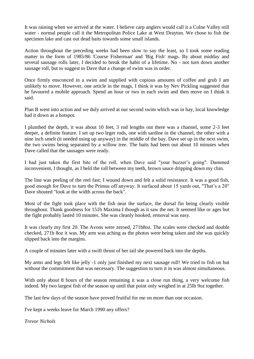It was raining when we arrived at the water. I believe carp anglers would call it a Colne Valley still water - normal people call it the Metropolitan Police Lake at West Drayton. We chose to fish the specimen lake and cast out dead baits towards some small islands.

Action throughout the preceding weeks had been slow to say the least, so I took some reading matter in the form of 1985/86 'Course Fisherman' and 'Big Fish' mags. By about midday and several sausage rolls later, I decided to break the habit of a lifetime. No - not turn down another sausage roll, but to suggest to Dave that a change of swim was in order.

Once firmly ensconced in a swim and supplied with copious amounts of coffee and grub I am unlikely to move. However, one article in the mags, I think it was by Nev Pickling suggested that he favoured a mobile approach. Spend an hour or two in each swim and then move on I think it said.

Plan B went into action and we duly arrived at our second swim which was in bay, local knowledge had it down as a hotspot.

I plumbed the depth, it was about 10 feet, 3 rod lengths out there was a channel, some 2-3 feet deeper, a definite feature. I set up two leger rods, one with sardine in the channel, the other with a nine inch smelt (it needed using up anyway) in the middle of the bay. Dave set up in the next swim, the two swims being separated by a willow tree. The baits had been out about 10 minutes when Dave called that the sausages were ready.

I had just taken the first bite of the roll, when Dave said "your buzzer's going". Dammed inconvenient, I thought, as I held the roll between my teeth, brown sauce dripping down my chin.

The line was peeling of the reel fast; I wound down and felt a solid resistance. It was a good fish, good enough for Dave to turn the Primus off anyway. It surfaced about 15 yards out, "That's a 20" Dave shouted "look at the width across the back".

Most of the fight took place with the fish near the surface, the dorsal fin being clearly visible throughout. Thank goodness for 151b Maxima I though as it saw the net. It seemed like or ages but the fight probably lasted 10 minutes. She was cleanly hooked, removal was easy.

It was clearly my first 20. The Avons were zeroed, 271b8oz. The scales were checked and double checked, 271b 8oz it was. My arm was aching as the photos were being taken and she was quickly slipped back into the margins.

A couple of minutes later with a swift thrust of her tail she powered back into the depths.

My arms and legs felt like jelly -1 only just finished my next sausage roll! We tried to fish on but without the commitment that was necessary. The suggestion to turn it in was almost simultaneous.

With only about 8 hours of the season remaining it was a close run thing, a very welcome fish indeed. My two largest fish of the season up until that point only weighed in at 25lb 9oz together.

The last few days of the season have proved fruitful for me on more than one occasion.

I've kept a weeks leave for March 1990 any offers?

*Trevor Nichols*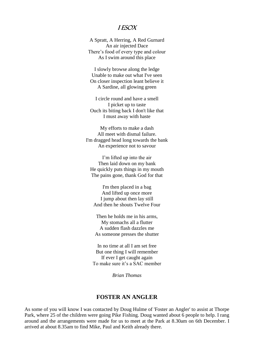## I Esox

A Spratt, A Herring, A Red Gurnard An air injected Dace There's food of every type and colour As I swim around this place

I slowly browse along the ledge Unable to make out what I've seen On closer inspection leant believe it A Sardine, all glowing green

I circle round and have a smell I picket up to taste Ouch its biting back I don't like that I must away with haste

My efforts to make a dash All meet with dismal failure. I'm dragged head long towards the bank An experience not to savour

I'm lifted up into the air Then laid down on my bank He quickly puts things in my mouth The pains gone, thank God for that

I'm then placed in a bag And lifted up once more I jump about then lay still And then he shouts Twelve Four

Then he holds me in his arms, My stomachs all a flutter A sudden flash dazzles me As someone presses the shutter

In no time at all I am set free But one thing I will remember If ever I get caught again To make sure it's a SAC member

*Brian Thomas*

## **FOSTER AN ANGLER**

As some of you will know I was contacted by Doug Hulme of 'Foster an Angler' to assist at Thorpe Park, where 25 of the children were going Pike Fishing. Doug wanted about 6 people to help. I rang around and the arrangements were made for us to meet at the Park at 8.30am on 6th December. I arrived at about 8.35am to find Mike, Paul and Keith already there.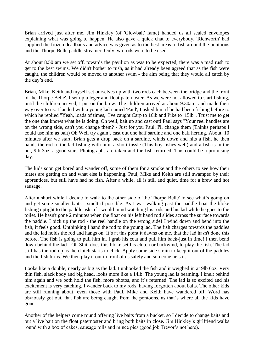Brian arrived just after me. Jim Hinkley (of 'Glowbait' fame) handed us all sealed envelopes explaining what was going to happen. He also gave a quick chat to everybody. 'Richworth' had supplied the frozen deadbaits and advice was given as to the best areas to fish around the pontoons and the Thorpe Belle paddle streamer. Only two rods were to be used

At about 8.50 am we set off, towards the pavilion as was to be expected, there was a mad rush to get to the best swims. We didn't bother to rush, as it had already been agreed that as the fish were caught, the children would be moved to another swim - the aim being that they would all catch by the day's end.

Brian, Mike, Keith and myself set ourselves up with two rods each between the bridge and the front of the Thorpe Belle'. I set up a leger and float paternoster. As we were not allowed to start fishing, until the children arrived, I put on the brew. The children arrived at about 9.30am, and made their way over to us. I landed with a young lad named 'Paul', I asked him if he had been fishing before to which he replied "Yeah, loads of times, I've caught Carp to 16lb and Pike to 15lb". Trust me to get the one that knows what he is doing. Oh well, bait up and cast out! Paul says "Your reel handles are on the wrong side, can't you change them? - Just for you Paul, I'll change them (Thinks perhaps I could use him as bait) Oh Well try again!, cast out one half sardine and one half herring. About 10 minutes after we start, Brian gets a drop back on a sardine, winds down and hits a fish, he then hands the rod to the lad fishing with him, a short tussle (This boy fishes well) and a fish is in the net, 9lb 3oz, a good start. Photographs are taken and the fish returned. This could be a promising day.

The kids soon get bored and wander off, some of them for a smoke and the others to see how their mates are getting on and what else is happening. Paul, Mike and Keith are still swamped by their apprentices, but still have had no fish. After a while, all is still and quiet, time for a brew and hot sausage.

After a short while I decide to walk to the other side of the Thorpe Belle' to see what's going on and get some smaller baits - smelt if possible. As I was walking past the paddle boat the bloke fishing uptight to the paddle asks if I would mind watching his rods and his lad while he goes to the toilet. He hasn't gone 2 minutes when the float on his left hand rod slides across the surface towards the paddle. I pick up the rod - the reel handle on the wrong side! I wind down and bend into the fish, it feels good. Unthinking I hand the rod to the young lad. The fish charges towards the paddles and the lad holds the rod and hangs on. It's at this point it dawns on me, that the lad hasn't done this before. The fish is going to pull him in. I grab his coat and pull him back-just in time! I then bend down behind the lad - Oh Shit, does this bloke set his clutch or backwind, to play the fish. The lad still has the rod up as the clutch starts to click. Apply some side strain to keep it out of the paddles and the fish turns. We then play it out in front of us safely and someone nets it.

Looks like a double, nearly as big as the lad. I unhooked the fish and it weighed in at 9lb 6oz. Very thin fish, slack body and big head, looks more like a 14lb. The young lad is beaming. I knelt behind him again and we both hold the fish, more photos, and it's returned. The lad is so excited and his excitement is very catching. I wander back to my rods, having forgotten about baits. The other kids are still running about, even those with Paul, Mike and Keith have wandered off. Word has obviously got out, that fish are being caught from the pontoons, as that's where all the kids have gone.

Another of the helpers come round offering live baits from a bucket, so I decide to change baits and put a live bait on the float paternoster and bring both baits in close. Jim Hinkley's girlfriend walks round with a box of cakes, sausage rolls and mince pies (good job Trevor's not here).